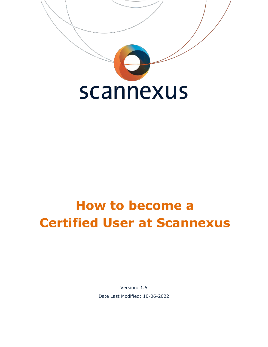

# **How to become a Certified User at Scannexus**

Version: 1.5 Date Last Modified: 10-06-2022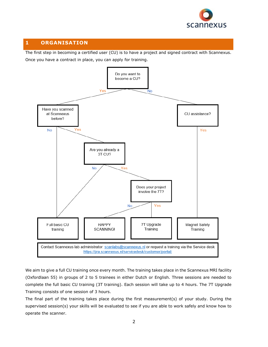

## **1 ORGANISATION**

The first step in becoming a certified user (CU) is to have a project and signed contract with Scannexus.



We aim to give a full CU training once every month. The training takes place in the Scannexus MRI facility (Oxfordlaan 55) in groups of 2 to 5 trainees in either Dutch or English. Three sessions are needed to complete the full basic CU training (3T training). Each session will take up to 4 hours. The 7T Upgrade Training consists of one session of 3 hours.

The final part of the training takes place during the first measurement(s) of your study. During the supervised session(s) your skills will be evaluated to see if you are able to work safely and know how to operate the scanner.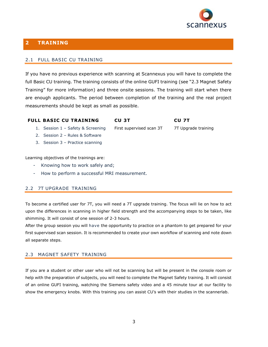

## **2 TRAINING**

#### 2.1 FULL BASIC CU TRAINING

If you have no previous experience with scanning at Scannexus you will have to complete the full Basic CU training. The training consists of the online GUFI training (see "2.3 Magnet Safety Training" for more information) and three onsite sessions. The training will start when there are enough applicants. The period between completion of the training and the real project measurements should be kept as small as possible.

#### **FULL BASIC CU TRAINING**

### **CU 3T**

First supervised scan 3T

**CU 7T** 7T Upgrade training

- 1. Session 1 Safety & Screening 2. Session 2 – Rules & Software
- 3. Session 3 Practice scanning

Learning objectives of the trainings are:

- Knowing how to work safely and;
- How to perform a successful MRI measurement.

#### 2.2 7T UPGRADE TRAINING

To become a certified user for 7T, you will need a 7T upgrade training. The focus will lie on how to act upon the differences in scanning in higher field strength and the accompanying steps to be taken, like shimming. It will consist of one session of 2-3 hours.

After the group session you will have the opportunity to practice on a phantom to get prepared for your first supervised scan session. It is recommended to create your own workflow of scanning and note down all separate steps.

#### 2.3 MAGNET SAFETY TRAINING

If you are a student or other user who will not be scanning but will be present in the console room or help with the preparation of subjects, you will need to complete the Magnet Safety training. It will consist of an online GUFI training, watching the Siemens safety video and a 45 minute tour at our facility to show the emergency knobs. With this training you can assist CU's with their studies in the scannerlab.